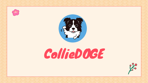



## CollieDOGE

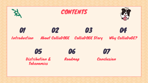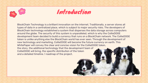



BlockChain Technology is a brilliant innovation on the internet. Traditionally, a server stores all types of data in a centralized place, which is subject to major security risks. The developers of BlockChain technology established a system that disperses the data storage across computers around the globe. The security of this system is unparalleled, which is why the CollieDOGE development team decided to build a currency that runs on a BlockChain network. The CollieDOGE token is unlike anything else the BlockChain world has ever seen. Through the development of new technology and marketing, CollieDOGE will become the future currency on earth. This WhitePaper will convey the clear and concise vision for the CollieDOGE token, the story, the additional technology that the development team of CollieDOGE will bring, the specific distribution of the token and a detailed timeline / roadmap of the project.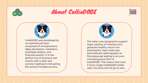

## About CollieDOGE





CollieDOGE was developed by an experienced team composed of entrepreneurs, dApp developers, marketers, charitable leaders, and financial experts. It is the perfect mix of business and charity with a clear and concise roadmap to disrupting the world of Cryptocurrency.



The token was designed to support large volumes of investors and generate healthy returns for participants. Each trade also automatically adds liquidity on Pancakeswap leading to an everincreasing price floor of CollieDOGE. This means that even if every single CollieDOGE holder sells, the price will not go to zero.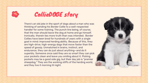



There's an old joke in the sport of dogs about a man who was thinking of sending his Border Collie to a well-respected handler for some training. The punch line being, of course, that the man should leave the dog at home and go himself. Ironically, therein lies more truth than was intended. Border Collies have been bred for hundreds of years with a single goal in mind: improved herding ability. Because of this, they are high-drive, high-energy dogs that move faster than the speed of gossip. Unmatched in brains, instinct, and endurance, they can do just about anything—and do it superbly. Someone once said they are so smart they can pick your pockets clean and leave you smiling about it. Picking pockets may be a good side gig, but their day job is "premier sheepdog." They are the working stiffs of the herding world, and they live it morning til night.

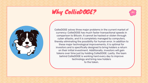## Why CollieDOGE?



CollieDOGE solves three major problems in the current market of currency: CollieDOGE has much faster transactional speeds in comparison to Bitcoin. It cannot be hacked or stolen through cyber attacks, and it is completely managed by computers, thereby eliminating the possibility for human error. In addition to these major technological improvements, it is optimal for investors and is specifically designed to bring holders a return on their initial investment. Additionally, investors will gain tokens over time just by holding CollieDOGE. Lastly, the team behind CollieDOGE is working hard every day to improve technology and bring new holders to the token.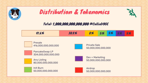





## Total: 1,000,000,000,000,000 #CollieDOGE

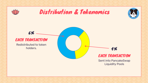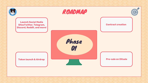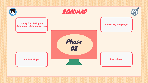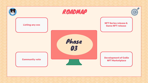